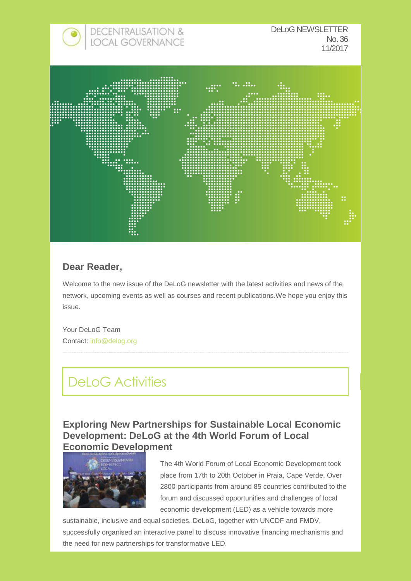

## **Dear Reader,**

Welcome to the new issue of the DeLoG newsletter with the latest activities and news of the network, upcoming events as well as courses and recent publications.We hope you enjoy this issue.

Your DeLoG Team Contact: [info@delog.org](mailto:info@delog.org) 

## DeLoG Activities

**Exploring New Partnerships for Sustainable Local Economic Development: DeLoG at the 4th World Forum of Local Economic Development**



The 4th World Forum of Local Economic Development took place from 17th to 20th October in Praia, Cape Verde. Over 2800 participants from around 85 countries contributed to the forum and discussed opportunities and challenges of local economic development (LED) as a vehicle towards more

sustainable, inclusive and equal societies. DeLoG, together with UNCDF and FMDV, successfully organised an interactive panel to discuss innovative financing mechanisms and the need for new partnerships for transformative LED.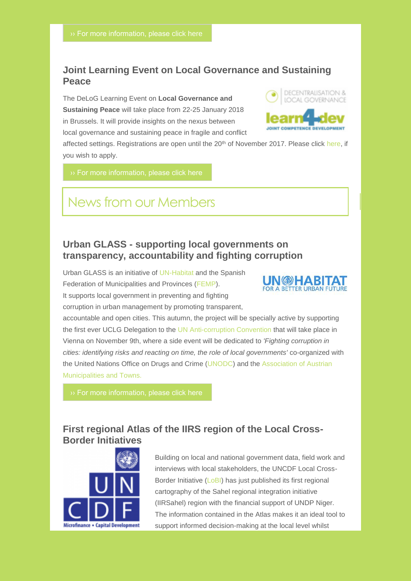## **Joint Learning Event on Local Governance and Sustaining Peace**

The DeLoG Learning Event on **Local Governance and Sustaining Peace** will take place from 22-25 January 2018 in Brussels. It will provide insights on the nexus between local governance and sustaining peace in fragile and conflict



affected settings. Registrations are open until the 20<sup>th</sup> of November 2017. Please click [here,](http://delog.org/web/mailster/9095/2c47a57fc952478722e996acd0764797/aHR0cDovL3N1cnZleS5pbi1saW5lLWNvbnN1bHQuZGUvaW5kZXgucGhwP3NpZD0zNTY5NyZhbXA7bGFuZz1lbg) if you wish to apply.

## News from our Members

## **Urban GLASS - supporting local governments on transparency, accountability and fighting corruption**

Urban GLASS is an initiative of [UN-Habitat a](http://delog.org/web/mailster/9095/2c47a57fc952478722e996acd0764797/aHR0cHM6Ly91bmhhYml0YXQub3JnLw)nd the Spanish Federation of Municipalities and Provinces [\(FEMP\)](http://delog.org/web/mailster/9095/2c47a57fc952478722e996acd0764797/aHR0cDovL3d3dy5mZW1wLmVzLw). It supports local government in preventing and fighting corruption in urban management by promoting transparent,



accountable and open cities. This autumn, the project will be specially active by supporting the first ever UCLG Delegation to the [UN Anti-corruption Convention t](http://delog.org/web/mailster/9095/2c47a57fc952478722e996acd0764797/aHR0cDovL3d3dy51bm9kYy5vcmcvdW5vZGMvZGUvdHJlYXRpZXMvQ0FDLw)hat will take place in Vienna on November 9th, where a side event will be dedicated to *'Fighting corruption in cities: identifying risks and reacting on time, the role of local governments'* co-organized with the United Nations Office on Drugs and Crime [\(UNODC\)](http://delog.org/web/mailster/9095/2c47a57fc952478722e996acd0764797/aHR0cHM6Ly93d3cudW5vZGMub3JnLw) and the [Association of Austrian](http://delog.org/web/mailster/9095/2c47a57fc952478722e996acd0764797/aHR0cDovL3d3dy5lcnNjaGFydGVyLmV1L2VuL2NvbnRlbnQvYXVzdHJpYW4tYXNzb2NpYXRpb24tY2l0aWVzLWFuZC10b3ducy0lQzMlQjZzdGVycmVpY2hpc2NoZXItc3QlQzMlQTRkdGVidW5k)  [Municipalities and Towns.](http://delog.org/web/mailster/9095/2c47a57fc952478722e996acd0764797/aHR0cDovL3d3dy5lcnNjaGFydGVyLmV1L2VuL2NvbnRlbnQvYXVzdHJpYW4tYXNzb2NpYXRpb24tY2l0aWVzLWFuZC10b3ducy0lQzMlQjZzdGVycmVpY2hpc2NoZXItc3QlQzMlQTRkdGVidW5k)

## **First regional Atlas of the IIRS region of the Local Cross-Border Initiatives**



Building on local and national government data, field work and interviews with local stakeholders, the UNCDF Local Cross-Border Initiative [\(LoBI\)](http://delog.org/web/mailster/9095/2c47a57fc952478722e996acd0764797/aHR0cDovL3d3dy51bmNkZi5vcmcvbG9iaQ) has just published its first regional cartography of the Sahel regional integration initiative (IIRSahel) region with the financial support of UNDP Niger. The information contained in the Atlas makes it an ideal tool to support informed decision-making at the local level whilst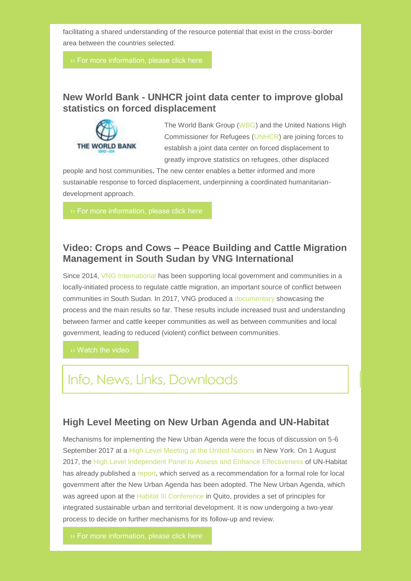facilitating a shared understanding of the resource potential that exist in the cross-border area between the countries selected.

## **New World Bank - UNHCR joint data center to improve global statistics on forced displacement**



The World Bank Group [\(WBG\)](http://delog.org/web/mailster/9095/2c47a57fc952478722e996acd0764797/aHR0cDovL3d3dy53b3JsZGJhbmsub3JnLw) and the United Nations High Commissioner for Refugees [\(UNHCR\)](http://delog.org/web/mailster/9095/2c47a57fc952478722e996acd0764797/aHR0cDovL3d3dy51bmhjci5vcmcv) are joining forces to establish a joint data center on forced displacement to greatly improve statistics on refugees, other displaced

people and host communities**.** The new center enables a better informed and more sustainable response to forced displacement, underpinning a coordinated humanitariandevelopment approach.

[›› For more information, please click here](http://delog.org/web/mailster/9095/2c47a57fc952478722e996acd0764797/aHR0cDovL3d3dy53b3JsZGJhbmsub3JnL2VuL25ld3MvcHJlc3MtcmVsZWFzZS8yMDE3LzEwLzIwL25ldy13b3JsZC1iYW5rLXVuaGNyLWpvaW50LWRhdGEtY2VudHJlLXRvLWltcHJvdmUtZ2xvYmFsLXN0YXRpc3RpY3Mtb24tZm9yY2VkLWRpc3BsYWNlbWVudA)

## **Video: Crops and Cows – Peace Building and Cattle Migration Management in South Sudan by VNG International**

Since 2014, [VNG International](http://delog.org/web/mailster/9095/2c47a57fc952478722e996acd0764797/aHR0cDovL3d3dy52bmctaW50ZXJuYXRpb25hbC5ubC8) has been supporting local government and communities in a locally-initiated process to regulate cattle migration, an important source of conflict between communities in South Sudan. In 2017, VNG produced a [documentary](http://delog.org/web/mailster/9095/2c47a57fc952478722e996acd0764797/aHR0cDovL3d3dy52bmctaW50ZXJuYXRpb25hbC5ubC9ibG9nL3ZpZGVvLWNyb3BzLWFuZC1jb3dzLXBlYWNlLWJ1aWxkaW5nLWFuZC1jYXR0bGUtbWlncmF0aW9uLW1hbmFnZW1lbnQtc291dGgtc3VkYW4v) showcasing the process and the main results so far. These results include increased trust and understanding between farmer and cattle keeper communities as well as between communities and local government, leading to reduced (violent) conflict between communities.

[›› Watch the video](http://delog.org/web/mailster/9095/2c47a57fc952478722e996acd0764797/aHR0cHM6Ly93d3cueW91dHViZS5jb20vd2F0Y2g_dj1QMFJCcHFzOGE1USZhbXA7ZmVhdHVyZT15b3V0dS5iZQ)

## Info, News, Links, Downloads

### **High Level Meeting on New Urban Agenda and UN-Habitat**

Mechanisms for implementing the New Urban Agenda were the focus of discussion on 5-6 September 2017 at a [High Level Meeting at the United Nations](http://delog.org/web/mailster/9095/2c47a57fc952478722e996acd0764797/aHR0cDovL3d3dy51bi5vcmcvcGdhLzcxL2V2ZW50LWxhdGVzdC9oaWdoLWxldmVsLW1lZXRpbmctb24tbmV3LXVyYmFuLWFnZW5kYS1hbmQtdW4taGFiaXRhdC9odHRwOi8vd3d3LnVuLm9yZy9wZ2EvNzEvZXZlbnQtbGF0ZXN0L2hpZ2gtbGV2ZWwtbWVldGluZy1vbi1uZXctdXJiYW4tYWdlbmRhLWFuZC11bi1oYWJpdGF0Lw) in New York. On 1 August 2017, the [High Level Independent Panel to Assess and Enhance Effectiveness](http://delog.org/web/mailster/9095/2c47a57fc952478722e996acd0764797/aHR0cHM6Ly93d3cudW4ub3JnL3ByZXNzL2VuLzIwMTcvc2dhMTcxNy5kb2MuaHRt) of UN-Habitat has already published a [report,](http://delog.org/web/mailster/9095/2c47a57fc952478722e996acd0764797/aHR0cDovL2RlbG9nLm9yZy93ZWIvaGlnaC1sZXZlbC1wYW5lbC1yZWNvbW1lbmRzLWZvcm1hbC1yb2xlLWxvY2FsLWdvdmVybm1lbnRzLXJlbmV3ZWQtdW4taGFiaXRhdC8) which served as a recommendation for a formal role for local government after the New Urban Agenda has been adopted. The New Urban Agenda, which was agreed upon at the [Habitat III Conference](http://delog.org/web/mailster/9095/2c47a57fc952478722e996acd0764797/aHR0cDovL2hhYml0YXQzLm9yZy90aGUtY29uZmVyZW5jZS8) in Quito, provides a set of principles for integrated sustainable urban and territorial development. It is now undergoing a two-year process to decide on further mechanisms for its follow-up and review.

[›› For more information, please click here](http://delog.org/web/mailster/9095/2c47a57fc952478722e996acd0764797/aHR0cDovL3d3dy51bi5vcmcvcGdhLzcxL2V2ZW50LWxhdGVzdC9oaWdoLWxldmVsLW1lZXRpbmctb24tbmV3LXVyYmFuLWFnZW5kYS1hbmQtdW4taGFiaXRhdC8)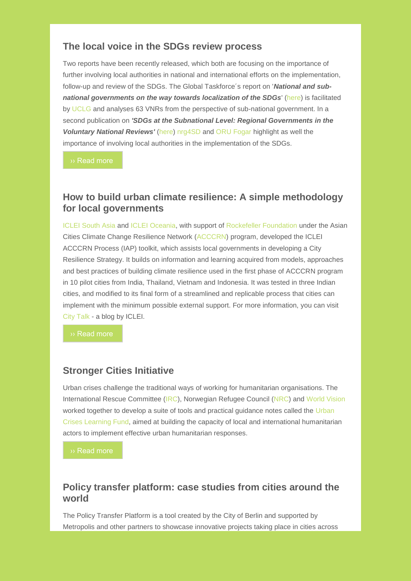### **The local voice in the SDGs review process**

Two reports have been recently released, which both are focusing on the importance of further involving local authorities in national and international efforts on the implementation, follow-up and review of the SDGs. The Global Taskforce´s report on '*National and subnational governments on the way towards localization of the SDGs*' [\(here\)](http://delog.org/web/mailster/9095/2c47a57fc952478722e996acd0764797/aHR0cDovL3d3dy51Y2xnLWRlY2VudHJhbGlzYXRpb24ub3JnL3NpdGVzL2RlZmF1bHQvZmlsZXMvUmVwb3J0JTIwTFJHcyUyMGFuZCUyMHRoZSUyMGxvY2FsaXNhdGlvbiUyMG9mJTIwdGhlJTIwU0RHcyUyMGxvd18wLnBkZg) is facilitated by [UCLG](http://delog.org/web/mailster/9095/2c47a57fc952478722e996acd0764797/aHR0cHM6Ly93d3cudWNsZy5vcmcv) and analyses 63 VNRs from the perspective of sub-national government. In a second publication on *'SDGs at the Subnational Level: Regional Governments in the Voluntary National Reviews'* [\(here\)](http://delog.org/web/mailster/9095/2c47a57fc952478722e996acd0764797/aHR0cDovL3d3dy5ucmc0c2Qub3JnL3dwLWNvbnRlbnQvdXBsb2Fkcy8yMDE3LzA3L1NER3NhdFN1Ym5hdGlvbmFsTGV2ZWwucGRm) [nrg4SD](http://delog.org/web/mailster/9095/2c47a57fc952478722e996acd0764797/aHR0cDovL3d3dy5ucmc0c2Qub3JnLw) and [ORU Fogar](http://delog.org/web/mailster/9095/2c47a57fc952478722e996acd0764797/aHR0cDovL3JlZ2lvbnN1bmllcy1mb2dhci5vcmcvZW4v) highlight as well the importance of involving local authorities in the implementation of the SDGs.

[›› Read more](http://delog.org/web/mailster/9095/2c47a57fc952478722e996acd0764797/aHR0cDovL2RlbG9nLm9yZy93ZWIvcmVwb3J0LWxvY2FsLXJlZ2lvbmFsLWdvdmVybm1lbnRzLXdheS10b3dhcmRzLWxvY2FsaXphdGlvbi1zZGdzLw)

### **How to build urban climate resilience: A simple methodology for local governments**

[ICLEI South Asia a](http://delog.org/web/mailster/9095/2c47a57fc952478722e996acd0764797/aHR0cDovL3NvdXRoYXNpYS5pY2xlaS5vcmcv)nd [ICLEI Oceania,](http://delog.org/web/mailster/9095/2c47a57fc952478722e996acd0764797/aHR0cDovL29jZWFuaWEuaWNsZWkub3JnLw) with support of [Rockefeller Foundation u](http://delog.org/web/mailster/9095/2c47a57fc952478722e996acd0764797/aHR0cHM6Ly93d3cucm9ja2VmZWxsZXJmb3VuZGF0aW9uLm9yZy8)nder the Asian Cities Climate Change Resilience Network [\(ACCCRN\)](http://delog.org/web/mailster/9095/2c47a57fc952478722e996acd0764797/aHR0cHM6Ly93d3cuYWNjY3JuLm5ldC8) program, developed the ICLEI ACCCRN Process (IAP) toolkit, which assists local governments in developing a City Resilience Strategy. It builds on information and learning acquired from models, approaches and best practices of building climate resilience used in the first phase of ACCCRN program in 10 pilot cities from India, Thailand, Vietnam and Indonesia. It was tested in three Indian cities, and modified to its final form of a streamlined and replicable process that cities can implement with the minimum possible external support. For more information, you can visit [City Talk -](http://delog.org/web/mailster/9095/2c47a57fc952478722e996acd0764797/aHR0cDovL3RhbGtvZnRoZWNpdGllcy5pY2xlaS5vcmcv) a blog by ICLEI.

### **Stronger Cities Initiative**

Urban crises challenge the traditional ways of working for humanitarian organisations. The International Rescue Committee [\(IRC\)](http://delog.org/web/mailster/9095/2c47a57fc952478722e996acd0764797/aHR0cHM6Ly93d3cucmVzY3VlLm9yZy8), Norwegian Refugee Council [\(NRC\)](http://delog.org/web/mailster/9095/2c47a57fc952478722e996acd0764797/aHR0cHM6Ly93d3cubnJjLm5vLw) and [World Vision](http://delog.org/web/mailster/9095/2c47a57fc952478722e996acd0764797/aHR0cDovL3d3dy53dmkub3Jn) worked together to develop a suite of tools and practical guidance notes called the Urban [Crises Learning Fund,](http://delog.org/web/mailster/9095/2c47a57fc952478722e996acd0764797/aHR0cHM6Ly93d3cuaWllZC5vcmcvdXJiYW4tY3Jpc2VzLWxlYXJuaW5nLWZ1bmQ) aimed at building the capacity of local and international humanitarian actors to implement effective urban humanitarian responses.

[›› Read more](http://delog.org/web/mailster/9095/2c47a57fc952478722e996acd0764797/aHR0cHM6Ly93d3cuaWllZC5vcmcvc3Ryb25nZXItY2l0aWVzLWluaXRpYXRpdmU_dXRtX3NvdXJjZT1JSUVEJmFtcDt1dG1fY2FtcGFpZ249NjE2NTUzNTVkYy1VUkJBTl9FTUFJTF9DQU1QQUlHTl8yMDE3XzAyJmFtcDt1dG1fbWVkaXVtPWVtYWlsJmFtcDt1dG1fdGVybT0wXzRjMjA2Y2YwYjItNjE2NTUzNTVkYy04OTg3Njc5Nw)

## **Policy transfer platform: case studies from cities around the world**

The Policy Transfer Platform is a tool created by the City of Berlin and supported by Metropolis and other partners to showcase innovative projects taking place in cities across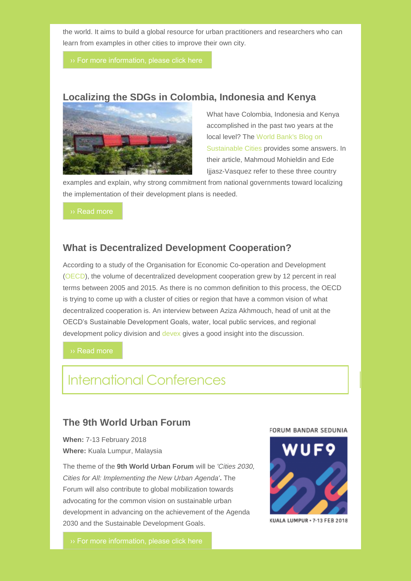the world. It aims to build a global resource for urban practitioners and researchers who can learn from examples in other cities to improve their own city.

## **Localizing the SDGs in Colombia, Indonesia and Kenya**



What have Colombia, Indonesia and Kenya accomplished in the past two years at the local level? The [World Bank's Blog on](http://delog.org/web/mailster/9095/2c47a57fc952478722e996acd0764797/aHR0cDovL2Jsb2dzLndvcmxkYmFuay5vcmcvY2F0ZWdvcnkvdGFncy9zdXN0YWluYWJsZS1jaXRpZXM)  [Sustainable Cities](http://delog.org/web/mailster/9095/2c47a57fc952478722e996acd0764797/aHR0cDovL2Jsb2dzLndvcmxkYmFuay5vcmcvY2F0ZWdvcnkvdGFncy9zdXN0YWluYWJsZS1jaXRpZXM) provides some answers. In their article, Mahmoud Mohieldin and Ede Ijjasz-Vasquez refer to these three country

examples and explain, why strong commitment from national governments toward localizing the implementation of their development plans is needed.

[›› Read more](http://delog.org/web/mailster/9095/2c47a57fc952478722e996acd0764797/aHR0cHM6Ly9ibG9ncy53b3JsZGJhbmsub3JnL3N1c3RhaW5hYmxlY2l0aWVzL2xvY2FsaXphdGlvbi1zdXN0YWluYWJsZS1kZXZlbG9wbWVudC1nb2Fscy1pbXBsZW1lbnRpbmctc2Rncy1jb2xvbWJpYS1pbmRvbmVzaWEtYW5kLWtlbnlh)

### **What is Decentralized Development Cooperation?**

According to a study of the Organisation for Economic Co-operation and Development [\(OECD\)](http://delog.org/web/mailster/9095/2c47a57fc952478722e996acd0764797/aHR0cDovL3d3dy5vZWNkLm9yZy8), the volume of decentralized development cooperation grew by 12 percent in real terms between 2005 and 2015. As there is no common definition to this process, the OECD is trying to come up with a cluster of cities or region that have a common vision of what decentralized cooperation is. An interview between Aziza Akhmouch, head of unit at the OECD's Sustainable Development Goals, water, local public services, and regional development policy division and [devex](http://delog.org/web/mailster/9095/2c47a57fc952478722e996acd0764797/aHR0cHM6Ly93d3cuZGV2ZXguY29tLw) gives a good insight into the discussion.

[›› Read more](http://delog.org/web/mailster/9095/2c47a57fc952478722e996acd0764797/aHR0cHM6Ly93d3cuZGV2ZXguY29tL25ld3MvcS1hLXdoYXQtaXMtZGVjZW50cmFsaXplZC1kZXZlbG9wbWVudC1jb29wZXJhdGlvbi05MDY2NCMuV1hoaTBEdWx6VTguZ21haWw)

## International Conferences

## **The 9th World Urban Forum**

**When:** 7-13 February 2018 **Where:** Kuala Lumpur, Malaysia

The theme of the **9th World Urban Forum** will be *'Cities 2030, Cities for All: Implementing the New Urban Agenda'***.** The Forum will also contribute to global mobilization towards advocating for the common vision on sustainable urban development in advancing on the achievement of the Agenda 2030 and the Sustainable Development Goals.

#### FORUM BANDAR SEDUNIA



KUALA LUMPUR · 7-13 FEB 2018

[›› For more information, please click here](http://delog.org/web/mailster/9095/2c47a57fc952478722e996acd0764797/aHR0cDovL2RlbG9nLm9yZy93ZWIvdGhlLTl0aC13b3JsZC11cmJhbi1mb3J1bS8)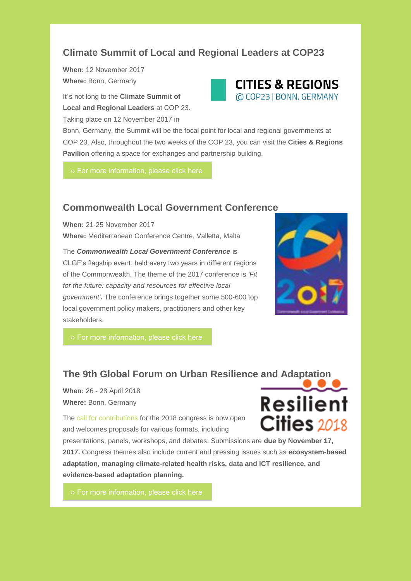## **Climate Summit of Local and Regional Leaders at COP23**

**When:** 12 November 2017 **Where:** Bonn, Germany

It´s not long to the **Climate Summit of Local and Regional Leaders** at COP 23. Taking place on 12 November 2017 in



Bonn, Germany, the Summit will be the focal point for local and regional governments at COP 23. Also, throughout the two weeks of the COP 23, you can visit the **Cities & Regions Pavilion** offering a space for exchanges and partnership building.

### **Commonwealth Local Government Conference**

**When:** 21-25 November 2017 **Where:** Mediterranean Conference Centre, Valletta, Malta

The *Commonwealth Local Government Conference* is CLGF's flagship event, held every two years in different regions of the Commonwealth. The theme of the 2017 conference is *'Fit for the future: capacity and resources for effective local government'.* The conference brings together some 500-600 top local government policy makers, practitioners and other key stakeholders.



## **The 9th Global Forum on Urban Resilience and Adaptation**

**When:** 26 - 28 April 2018 **Where:** Bonn, Germany

The [call for contributions f](http://delog.org/web/mailster/9095/2c47a57fc952478722e996acd0764797/aHR0cDovL3Jlc2lsaWVudGNpdGllczIwMTguaWNsZWkub3JnL2ZpbGVhZG1pbi9zaXRlcy9yZXNpbGllbnQtY2l0aWVzL2ZpbGVzL2RvY3MvVHlwZXNfb2ZfY29udHJpYnV0aW9uX2Zvcm1hdHMucGRm)or the 2018 congress is now open and welcomes proposals for various formats, including



presentations, panels, workshops, and debates. Submissions are **due by November 17, 2017.** Congress themes also include current and pressing issues such as **ecosystem-based adaptation, managing climate-related health risks, data and ICT resilience, and evidence-based adaptation planning.**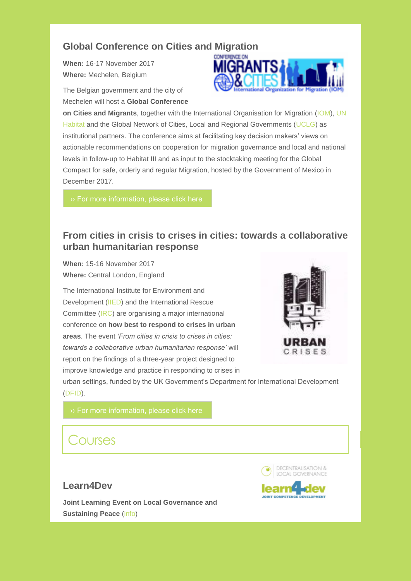## **Global Conference on Cities and Migration**

**When:** 16-17 November 2017 **Where:** Mechelen, Belgium

The Belgian government and the city of Mechelen will host a **Global Conference** 



**on Cities and Migrants**, together with the International Organisation for Migration [\(IOM\)](http://delog.org/web/mailster/9095/2c47a57fc952478722e996acd0764797/aHR0cHM6Ly93d3cuaW9tLmludC8), [UN](http://delog.org/web/mailster/9095/2c47a57fc952478722e996acd0764797/aHR0cHM6Ly91bmhhYml0YXQub3JnLw/1)  [Habitat a](http://delog.org/web/mailster/9095/2c47a57fc952478722e996acd0764797/aHR0cHM6Ly91bmhhYml0YXQub3JnLw/1)nd the Global Network of Cities, Local and Regional Governments [\(UCLG\)](http://delog.org/web/mailster/9095/2c47a57fc952478722e996acd0764797/aHR0cHM6Ly93d3cudWNsZy5vcmcv/1) as institutional partners. The conference aims at facilitating key decision makers' views on actionable recommendations on cooperation for migration governance and local and national levels in follow-up to Habitat III and as input to the stocktaking meeting for the Global Compact for safe, orderly and regular Migration, hosted by the Government of Mexico in December 2017.

## **From cities in crisis to crises in cities: towards a collaborative urban humanitarian response**

**When:** 15-16 November 2017 **Where:** Central London, England

The International Institute for Environment and Development [\(IIED\)](http://delog.org/web/mailster/9095/2c47a57fc952478722e996acd0764797/aHR0cHM6Ly93d3cuaWllZC5vcmcv) and the International Rescue Committee [\(IRC\)](http://delog.org/web/mailster/9095/2c47a57fc952478722e996acd0764797/aHR0cDovL2lpZWQudXM0Lmxpc3QtbWFuYWdlLmNvbS90cmFjay9jbGljaz91PWZlNDBmMTA2NDdlNjRiMDNkYTZhZTkxZmImYW1wO2lkPWZlOGEzOGJkNjAmYW1wO2U9ZGVlMzRlZmI3OA) are organising a major international conference on **how best to respond to crises in urban areas**. The event *'From cities in crisis to crises in cities: towards a collaborative urban humanitarian response'* will report on the findings of a three-year project designed to improve knowledge and practice in responding to crises in



urban settings, funded by the UK Government's Department for International Development [\(DFID\)](http://delog.org/web/mailster/9095/2c47a57fc952478722e996acd0764797/aHR0cHM6Ly93d3cuZ292LnVrL2dvdmVybm1lbnQvb3JnYW5pc2F0aW9ucy9kZXBhcnRtZW50LWZvci1pbnRlcm5hdGlvbmFsLWRldmVsb3BtZW50).

## Courses

## **Learn4Dev**

**Joint Learning Event on Local Governance and Sustaining Peace** [\(info\)](http://delog.org/web/mailster/9095/2c47a57fc952478722e996acd0764797/aHR0cDovL2RlbG9nLm9yZy93ZWIvOTM4OC0yLw)



**JOINT COMPETENCE DEVELOPMENT**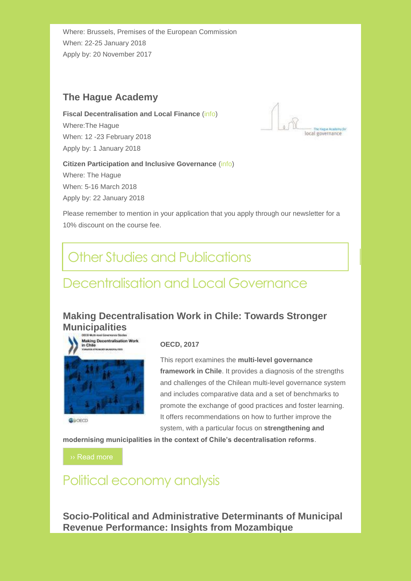Where: Brussels, Premises of the European Commission When: 22-25 January 2018 Apply by: 20 November 2017

## **The Hague Academy**

**Fiscal Decentralisation and Local Finance** [\(info\)](http://delog.org/web/mailster/9095/2c47a57fc952478722e996acd0764797/aHR0cHM6Ly90aGVoYWd1ZWFjYWRlbXkuY29tL2Jsb2cvMjAxNy8wMy9maXNjYWwtZGVjZW50cmFsaXNhdGlvbi0yMDE4Lw) Where:The Hague

When: 12 -23 February 2018 Apply by: 1 January 2018



#### **Citizen Participation and Inclusive Governance** [\(info\)](http://delog.org/web/mailster/9095/2c47a57fc952478722e996acd0764797/aHR0cHM6Ly90aGVoYWd1ZWFjYWRlbXkuY29tL2Jsb2cvMjAxNy8wMy9jaXRpemVuLXBhcnRpY2lwYXRpb24taW5jbHVzaXZlLWdvdmVybmFuY2UtMjAxOC8) Where: The Hague

When: 5-16 March 2018 Apply by: 22 January 2018

Please remember to mention in your application that you apply through our newsletter for a 10% discount on the course fee.

## Other Studies and Publications

## Decentralisation and Local Governance

## **Making Decentralisation Work in Chile: Towards Stronger Municipalities**



Gaorco

#### **OECD, 2017**

This report examines the **multi-level governance framework in Chile**. It provides a diagnosis of the strengths and challenges of the Chilean multi-level governance system and includes comparative data and a set of benchmarks to promote the exchange of good practices and foster learning. It offers recommendations on how to further improve the system, with a particular focus on **strengthening and** 

**modernising municipalities in the context of Chile's decentralisation reforms**.

[›› Read more](http://delog.org/web/mailster/9095/2c47a57fc952478722e996acd0764797/aHR0cDovL3d3dy5rZWVwZWVrLmNvbS9EaWdpdGFsLUFzc2V0LU1hbmFnZW1lbnQvb2VjZC9nb3Zlcm5hbmNlL21ha2luZy1kZWNlbnRyYWxpc2F0aW9uLXdvcmstaW4tY2hpbGVfOTc4OTI2NDI3OTA0OS1lbiNwYWdlMQ)

## Political economy analysis

**Socio-Political and Administrative Determinants of Municipal Revenue Performance: Insights from Mozambique**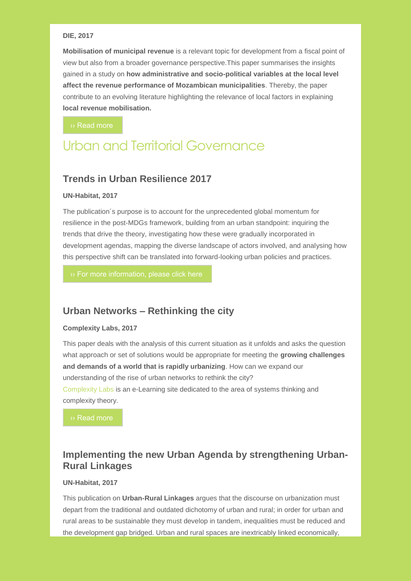#### **DIE, 2017**

**Mobilisation of municipal revenue** is a relevant topic for development from a fiscal point of view but also from a broader governance perspective.This paper summarises the insights gained in a study on **how administrative and socio-political variables at the local level affect the revenue performance of Mozambican municipalities**. Thereby, the paper contribute to an evolving literature highlighting the relevance of local factors in explaining **local revenue mobilisation.**

[›› Read more](http://delog.org/web/mailster/9095/2c47a57fc952478722e996acd0764797/aHR0cDovL3d3dy5kaWUtZ2RpLmRlL3VwbG9hZHMvbWVkaWEvQlBfXzE0LjIwMTcucGRm)

## Urban and Territorial Governance

### **Trends in Urban Resilience 2017**

#### **UN-Habitat, 2017**

The publication´s purpose is to account for the unprecedented global momentum for resilience in the post-MDGs framework, building from an urban standpoint: inquiring the trends that drive the theory, investigating how these were gradually incorporated in development agendas, mapping the diverse landscape of actors involved, and analysing how this perspective shift can be translated into forward-looking urban policies and practices.

## **Urban Networks – Rethinking the city**

#### **Complexity Labs, 2017**

This paper deals with the analysis of this current situation as it unfolds and asks the question what approach or set of solutions would be appropriate for meeting the **growing challenges and demands of a world that is rapidly urbanizing**. How can we expand our understanding of the rise of urban networks to rethink the city? [Complexity Labs](http://delog.org/web/mailster/9095/2c47a57fc952478722e996acd0764797/aHR0cDovL2NvbXBsZXhpdHlsYWJzLmlvLw) is an e-Learning site dedicated to the area of systems thinking and complexity theory.

[›› Read more](http://delog.org/web/mailster/9095/2c47a57fc952478722e996acd0764797/aHR0cDovL2NvbXBsZXhpdHlsYWJzLmlvL3VyYmFuLW5ldHdvcmtzLXJldGhpbmtpbmctY2l0eS8)

## **Implementing the new Urban Agenda by strengthening Urban-Rural Linkages**

#### **UN-Habitat, 2017**

This publication on **Urban-Rural Linkages** argues that the discourse on urbanization must depart from the traditional and outdated dichotomy of urban and rural; in order for urban and rural areas to be sustainable they must develop in tandem, inequalities must be reduced and the development gap bridged. Urban and rural spaces are inextricably linked economically,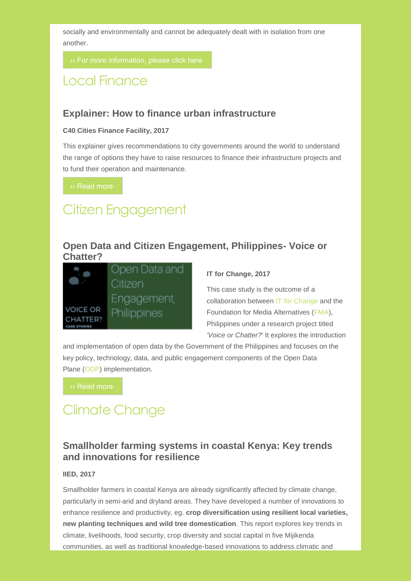socially and environmentally and cannot be adequately dealt with in isolation from one another.

## Local Finance

### **Explainer: How to finance urban infrastructure**

#### **C40 Cities Finance Facility, 2017**

This explainer gives recommendations to city governments around the world to understand the range of options they have to raise resources to finance their infrastructure projects and to fund their operation and maintenance.

[›› Read more](http://delog.org/web/mailster/9095/2c47a57fc952478722e996acd0764797/aHR0cHM6Ly9jZmYtcHJvZC5zMy5hbWF6b25hd3MuY29tL3N0b3JhZ2UvZmlsZXMvMUwySVJkZng2b2dES1JSeHRicENYUjFGbUtJT1RzcHJrRjZ5cjB0cy5wZGY)

## Citizen Engagement

### **Open Data and Citizen Engagement, Philippines- Voice or Chatter?**



#### **IT for Change, 2017**

This case study is the outcome of a collaboration between [IT for Change a](http://delog.org/web/mailster/9095/2c47a57fc952478722e996acd0764797/aHR0cHM6Ly93d3cuaXRmb3JjaGFuZ2UubmV0Lw)nd the Foundation for Media Alternatives [\(FMA\)](http://delog.org/web/mailster/9095/2c47a57fc952478722e996acd0764797/aHR0cDovL2ZtYS5waC8), Philippines under a research project titled *'Voice or Chatter?*' It explores the introduction

and implementation of open data by the Government of the Philippines and focuses on the key policy, technology, data, and public engagement components of the Open Data Plane [\(ODP\)](http://delog.org/web/mailster/9095/2c47a57fc952478722e996acd0764797/aHR0cHM6Ly93d3cub3BlbmRhdGFwbGFuZS5vcmcvZG93bmxvYWRzLw) implementation.

## Climate Change

## **Smallholder farming systems in coastal Kenya: Key trends and innovations for resilience**

#### **IIED, 2017**

Smallholder farmers in coastal Kenya are already significantly affected by climate change, particularly in semi-arid and dryland areas. They have developed a number of innovations to enhance resilience and productivity, eg. **crop diversification using resilient local varieties, new planting techniques and wild tree domestication**. This report explores key trends in climate, livelihoods, food security, crop diversity and social capital in five Mijikenda communities, as well as traditional knowledge-based innovations to address climatic and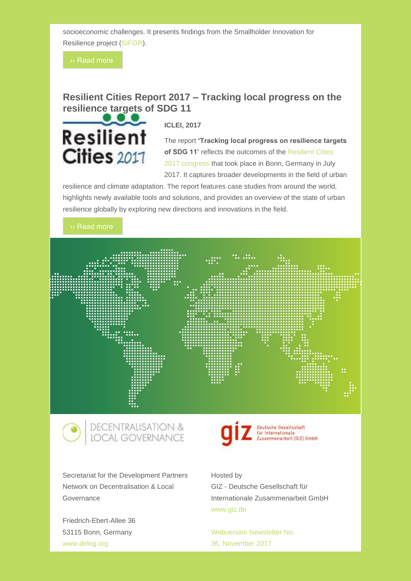socioeconomic challenges. It presents findings from the Smallholder Innovation for Resilience project [\(SIFOR\)](http://delog.org/web/mailster/9095/2c47a57fc952478722e996acd0764797/aHR0cHM6Ly93d3cuaWllZC5vcmcvc21hbGxob2xkZXItaW5ub3ZhdGlvbi1mb3ItcmVzaWxpZW5jZS1zaWZvcg).

## **Resilient Cities Report 2017 – Tracking local progress on the resilience targets of SDG 11**



**ICLEI, 2017**

The report **'Tracking local progress on resilience targets of SDG 11'** reflects the outcomes of the [Resilient Cities](http://delog.org/web/mailster/9095/2c47a57fc952478722e996acd0764797/aHR0cDovL3Jlc2lsaWVudGNpdGllczIwMTcuaWNsZWkub3JnLw)  [2017 congress t](http://delog.org/web/mailster/9095/2c47a57fc952478722e996acd0764797/aHR0cDovL3Jlc2lsaWVudGNpdGllczIwMTcuaWNsZWkub3JnLw)hat took place in Bonn, Germany in July 2017. It captures broader developments in the field of urban

resilience and climate adaptation. The report features case studies from around the world, highlights newly available tools and solutions, and provides an overview of the state of urban resilience globally by exploring new directions and innovations in the field.

#### [›› Read more](http://delog.org/web/mailster/9095/2c47a57fc952478722e996acd0764797/aHR0cDovL3Jlc2lsaWVudC1jaXRpZXMuaWNsZWkub3JnL2ZpbGVhZG1pbi9zaXRlcy9yZXNpbGllbnQtY2l0aWVzL2ZpbGVzL1Jlc2lsaWVudF9DaXRpZXNfMjAxOC9SQzIwMTdfUmVwb3J0X09ubGluZV8yNjEwMjAxN19GaW5hbC1jb21wcmVzc2VkLnBkZg)





Secretariat for the Development Partners Network on Decentralisation & Local Governance

Friedrich-Ebert-Allee 36 53115 Bonn, Germany [www.delog.org](http://delog.org/web/mailster/9095/2c47a57fc952478722e996acd0764797/aHR0cDovL3d3dy5kZWxvZy5vcmc)

# Deutsche Gesellschaft<br>für Internationale<br>Zusammenarbeit (GIZ) GmbH

Hosted by GIZ - Deutsche Gesellschaft für Internationale Zusammenarbeit GmbH [www.giz.de](http://delog.org/web/mailster/9095/2c47a57fc952478722e996acd0764797/aHR0cDovL3d3dy5naXouZGU)

[Webversion Newsletter No.](http://delog.org/web/mailster/9095/2c47a57fc952478722e996acd0764797/aHR0cDovL2RlbG9nLm9yZy93ZWIvbmV3c2xldHRlci9kZWxvZy1uZXdzbGV0dGVyLW5vLTM2LTkyMDE3Lw)  36, [November](http://delog.org/web/mailster/9095/2c47a57fc952478722e996acd0764797/aHR0cDovL2RlbG9nLm9yZy93ZWIvbmV3c2xldHRlci9kZWxvZy1uZXdzbGV0dGVyLW5vLTM2LTkyMDE3Lw) 2017